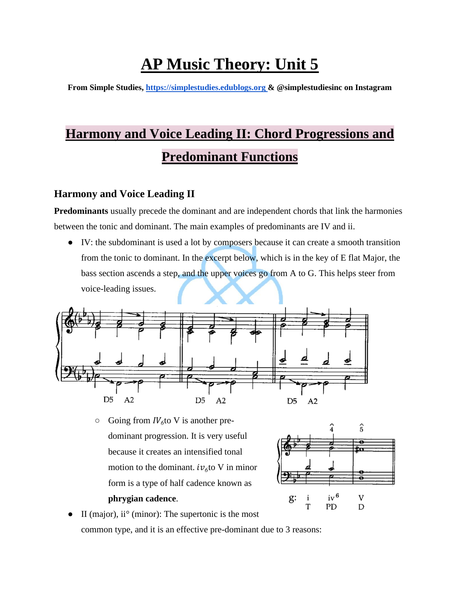# **AP Music Theory: Unit 5**

**From Simple Studies, https://simplestudies.edublogs.org & @simplestudiesinc on Instagram**

# **Harmony and Voice Leading II: Chord Progressions and Predominant Functions**

## **Harmony and Voice Leading II**

**Predominants** usually precede the dominant and are independent chords that link the harmonies between the tonic and dominant. The main examples of predominants are IV and ii.

● IV: the subdominant is used a lot by composers because it can create a smooth transition from the tonic to dominant. In the excerpt below, which is in the key of E flat Major, the bass section ascends a step, and the upper voices go from A to G. This helps steer from voice-leading issues.



 $\circ$  Going from *IV*<sub>6</sub> to V is another predominant progression. It is very useful because it creates an intensified tonal motion to the dominant.  $iv_{\delta}$  to V in minor form is a type of half cadence known as **phrygian cadence**.



 $\bullet$  II (major), ii<sup>o</sup> (minor): The supertonic is the most common type, and it is an effective pre-dominant due to 3 reasons: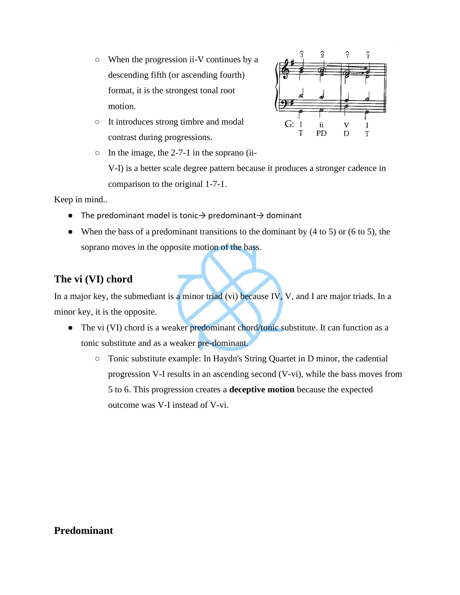- When the progression ii-V continues by a descending fifth (or ascending fourth) format, it is the strongest tonal root motion.
- It introduces strong timbre and modal contrast during progressions.



Keep in mind..

- $\bullet$  The predominant model is tonic $\rightarrow$  predominant $\rightarrow$  dominant
- When the bass of a predominant transitions to the dominant by  $(4 \text{ to } 5)$  or  $(6 \text{ to } 5)$ , the soprano moves in the opposite motion of the bass.

#### **The vi (VI) chord**

In a major key, the submediant is a minor triad (vi) because IV, V, and I are major triads. In a minor key, it is the opposite.

- The vi (VI) chord is a weaker predominant chord/tonic substitute. It can function as a tonic substitute and as a weaker pre-dominant.
	- Tonic substitute example: In Haydn's String Quartet in D minor, the cadential progression V-I results in an ascending second (V-vi), while the bass moves from 5 to 6. This progression creates a **deceptive motion** because the expected outcome was V-I instead of V-vi.



#### **Predominant**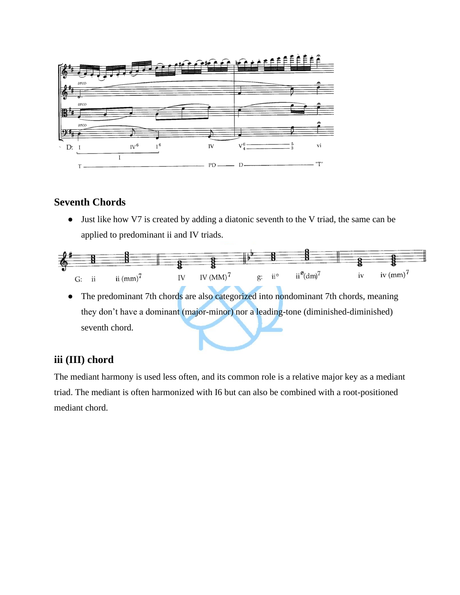

### **Seventh Chords**

● Just like how V7 is created by adding a diatonic seventh to the V triad, the same can be applied to predominant ii and IV triads.



• The predominant 7th chords are also categorized into nondominant 7th chords, meaning they don't have a dominant (major-minor) nor a leading-tone (diminished-diminished) seventh chord.

#### **iii (III) chord**

The mediant harmony is used less often, and its common role is a relative major key as a mediant triad. The mediant is often harmonized with I6 but can also be combined with a root-positioned mediant chord.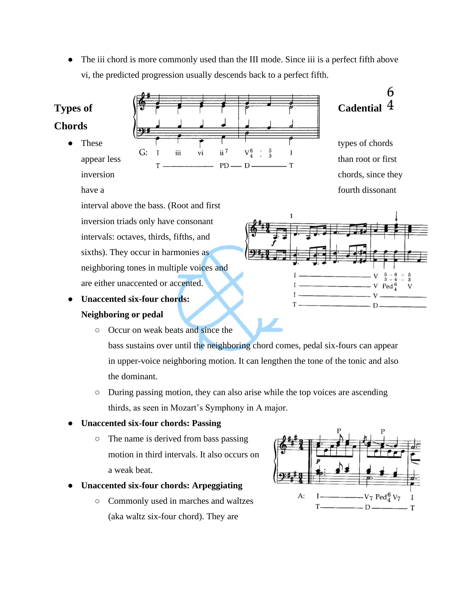• The iii chord is more commonly used than the III mode. Since iii is a perfect fifth above vi, the predicted progression usually descends back to a perfect fifth.

#### **Chords**

Types of  $\sqrt{27}$   $\sqrt{7}$   $\sqrt{7}$   $\sqrt{7}$   $\sqrt{7}$   $\sqrt{7}$   $\sqrt{7}$   $\sqrt{7}$   $\sqrt{7}$   $\sqrt{7}$   $\sqrt{7}$   $\sqrt{7}$   $\sqrt{7}$   $\sqrt{7}$   $\sqrt{7}$   $\sqrt{7}$   $\sqrt{7}$   $\sqrt{7}$   $\sqrt{7}$   $\sqrt{7}$   $\sqrt{7}$   $\sqrt{7}$   $\sqrt{7}$   $\sqrt{7}$   $\sqrt{7}$   $\sqrt{7}$   $\sqrt$ These  $\begin{array}{ccc} \uparrow & \uparrow & \uparrow & \downarrow & \uparrow & \uparrow & \downarrow \\ G: \quad I \quad \text{iii} \quad \text{vi} \quad \text{ii}^7 \quad \text{V}_4^6 \quad \frac{5}{3} \quad I \end{array}$  types of chords appear less  $G: I$  iii vi ii<sup>7</sup>  $V_4^6 : \frac{5}{3}$  I than root or first  $T \longrightarrow P D \longrightarrow D \longrightarrow T$ inversion chords, since they

6

have a fourth dissonant

interval above the bass. (Root and first inversion triads only have consonant intervals: octaves, thirds, fifths, and sixths). They occur in harmonies as neighboring tones in multiple voices and are either unaccented or accented.

- **Unaccented six-four chords: Neighboring or pedal**
	- Occur on weak beats and since the bass sustains over until the neighboring chord comes, pedal six-fours can appear in upper-voice neighboring motion. It can lengthen the tone of the tonic and also the dominant.
		- During passing motion, they can also arise while the top voices are ascending thirds, as seen in Mozart's Symphony in A major.

#### ● **Unaccented six-four chords: Passing**

- The name is derived from bass passing motion in third intervals. It also occurs on a weak beat.
- **Unaccented six-four chords: Arpeggiating**
	- Commonly used in marches and waltzes (aka waltz six-four chord). They are



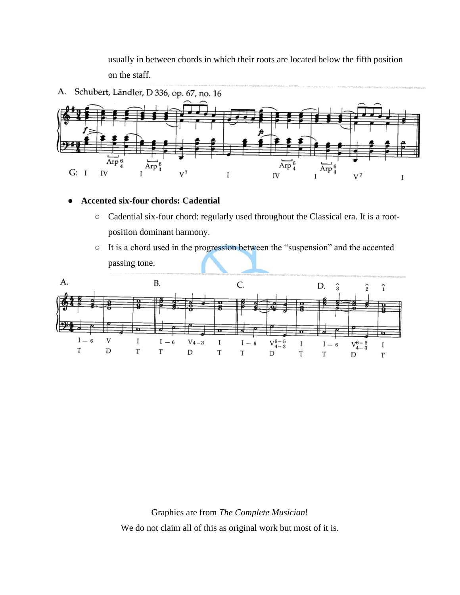usually in between chords in which their roots are located below the fifth position on the staff.



#### ● **Accented six-four chords: Cadential**

- Cadential six-four chord: regularly used throughout the Classical era. It is a rootposition dominant harmony.
- It is a chord used in the progression between the "suspension" and the accented passing tone.



Graphics are from *The Complete Musician*! We do not claim all of this as original work but most of it is.